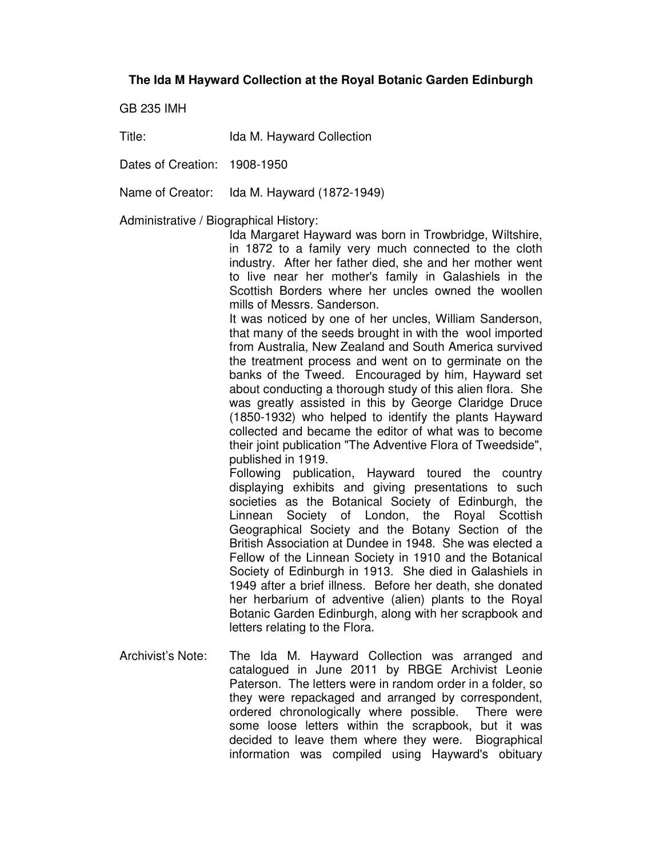## **The Ida M Hayward Collection at the Royal Botanic Garden Edinburgh**

GB 235 IMH

Title: Ida M. Hayward Collection

Dates of Creation: 1908-1950

Name of Creator: Ida M. Hayward (1872-1949)

Administrative / Biographical History:

Ida Margaret Hayward was born in Trowbridge, Wiltshire, in 1872 to a family very much connected to the cloth industry. After her father died, she and her mother went to live near her mother's family in Galashiels in the Scottish Borders where her uncles owned the woollen mills of Messrs. Sanderson.

It was noticed by one of her uncles, William Sanderson, that many of the seeds brought in with the wool imported from Australia, New Zealand and South America survived the treatment process and went on to germinate on the banks of the Tweed. Encouraged by him, Hayward set about conducting a thorough study of this alien flora. She was greatly assisted in this by George Claridge Druce (1850-1932) who helped to identify the plants Hayward collected and became the editor of what was to become their joint publication "The Adventive Flora of Tweedside", published in 1919.

Following publication, Hayward toured the country displaying exhibits and giving presentations to such societies as the Botanical Society of Edinburgh, the Linnean Society of London, the Royal Scottish Geographical Society and the Botany Section of the British Association at Dundee in 1948. She was elected a Fellow of the Linnean Society in 1910 and the Botanical Society of Edinburgh in 1913. She died in Galashiels in 1949 after a brief illness. Before her death, she donated her herbarium of adventive (alien) plants to the Royal Botanic Garden Edinburgh, along with her scrapbook and letters relating to the Flora.

Archivist's Note: The Ida M. Hayward Collection was arranged and catalogued in June 2011 by RBGE Archivist Leonie Paterson. The letters were in random order in a folder, so they were repackaged and arranged by correspondent, ordered chronologically where possible. There were some loose letters within the scrapbook, but it was decided to leave them where they were. Biographical information was compiled using Hayward's obituary